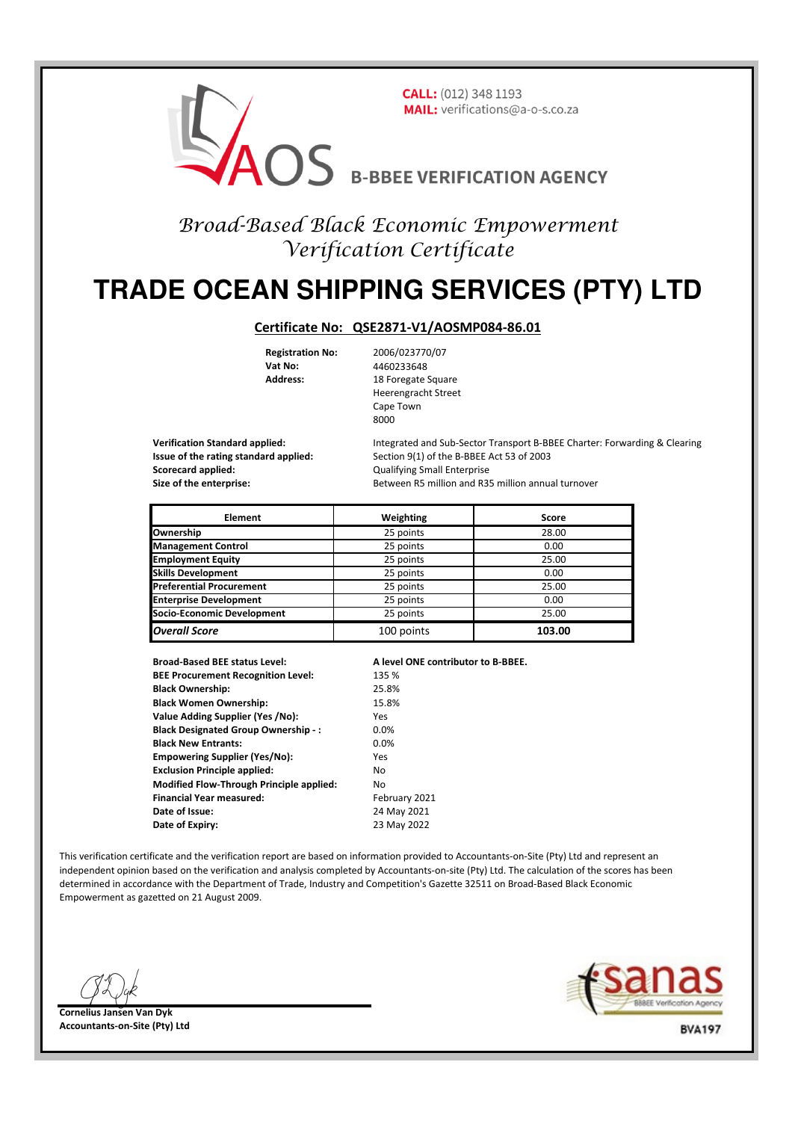

## Broad-Based Black Economic Empowerment Verification Certificate

# **TRADE OCEAN SHIPPING SERVICES (PTY) LTD**

#### **Certificate No: QSE2871-V1/AOSMP084-86.01**

**Vat No:** 4460233648

**Registration No:** 2006/023770/07 Address: 18 Foregate Square Heerengracht Street Cape Town  $8000$ 

**Scorecard applied:** Consequently applied: Consequently applied: Qualifying Small Enterprise

**Verification Standard applied:** Integrated and Sub-Sector Transport B-BBEE Charter: Forwarding & Clearing **Issue of the rating standard applied:** Section 9(1) of the B-BBEE Act 53 of 2003 **Size of the enterprise:** Between R5 million and R35 million annual turnover

| <b>Element</b>                  | Weighting  | Score  |
|---------------------------------|------------|--------|
| Ownership                       | 25 points  | 28.00  |
| <b>Management Control</b>       | 25 points  | 0.00   |
| <b>Employment Equity</b>        | 25 points  | 25.00  |
| <b>Skills Development</b>       | 25 points  | 0.00   |
| <b>Preferential Procurement</b> | 25 points  | 25.00  |
| <b>Enterprise Development</b>   | 25 points  | 0.00   |
| Socio-Economic Development      | 25 points  | 25.00  |
| <b>Overall Score</b>            | 100 points | 103.00 |

**Broad-Based BEE status Level: A level ONE contributor to B-BBEE. BEE Procurement Recognition Level:** 135 % **Black Ownership:** 25.8% **Black Women Ownership:** 15.8% **Value Adding Supplier (Yes /No):** Yes **Black Designated Group Ownership -:** 0.0% **Black New Entrants:** 0.0% **Empowering Supplier (Yes/No):** Yes **Exclusion Principle applied:** No **Modified Flow-Through Principle applied:** No **Financial Year measured:** February 2021 **Date of Issue:** 24 May 2021 **Date of Expiry:** 23 May 2022

This verification certificate and the verification report are based on information provided to Accountants-on-Site (Pty) Ltd and represent an independent opinion based on the verification and analysis completed by Accountants-on-site (Pty) Ltd. The calculation of the scores has been determined in accordance with the Department of Trade, Industry and Competition's Gazette 32511 on Broad-Based Black Economic Empowerment as gazetted on 21 August 2009.





**BVA197**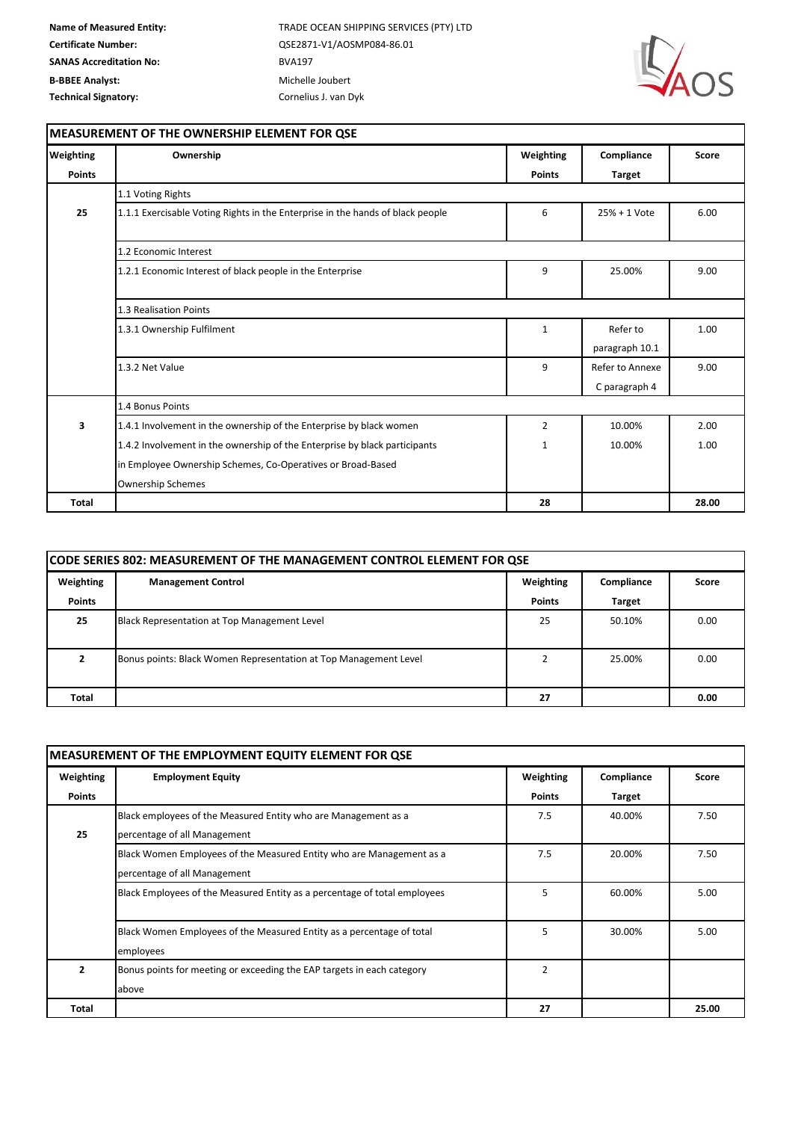**Name of Measured Entity:** TRADE OCEAN SHIPPING SERVICES (PTY) LTD **Certificate Number:** QSE2871-V1/AOSMP084-86.01



٦

#### **MEASUREMENT OF THE OWNERSHIP ELEMENT FOR QSE**

| Weighting     | Ownership                                                                      | Weighting      | Compliance      | Score |
|---------------|--------------------------------------------------------------------------------|----------------|-----------------|-------|
| <b>Points</b> |                                                                                | <b>Points</b>  | <b>Target</b>   |       |
|               | 1.1 Voting Rights                                                              |                |                 |       |
| 25            | 1.1.1 Exercisable Voting Rights in the Enterprise in the hands of black people | 6              | 25% + 1 Vote    | 6.00  |
|               | 1.2 Economic Interest                                                          |                |                 |       |
|               | 1.2.1 Economic Interest of black people in the Enterprise                      | 9              | 25.00%          | 9.00  |
|               | 1.3 Realisation Points                                                         |                |                 |       |
|               | 1.3.1 Ownership Fulfilment                                                     | $\mathbf{1}$   | Refer to        | 1.00  |
|               |                                                                                |                | paragraph 10.1  |       |
|               | 1.3.2 Net Value                                                                | 9              | Refer to Annexe | 9.00  |
|               |                                                                                |                | C paragraph 4   |       |
|               | 1.4 Bonus Points                                                               |                |                 |       |
| з             | 1.4.1 Involvement in the ownership of the Enterprise by black women            | $\overline{2}$ | 10.00%          | 2.00  |
|               | 1.4.2 Involvement in the ownership of the Enterprise by black participants     | $\mathbf{1}$   | 10.00%          | 1.00  |
|               | in Employee Ownership Schemes, Co-Operatives or Broad-Based                    |                |                 |       |
|               | <b>Ownership Schemes</b>                                                       |                |                 |       |
| <b>Total</b>  |                                                                                | 28             |                 | 28.00 |

| <b>CODE SERIES 802: MEASUREMENT OF THE MANAGEMENT CONTROL ELEMENT FOR QSE</b> |                                                                  |               |               |       |  |
|-------------------------------------------------------------------------------|------------------------------------------------------------------|---------------|---------------|-------|--|
| Weighting                                                                     | <b>Management Control</b>                                        | Weighting     | Compliance    | Score |  |
| Points                                                                        |                                                                  | <b>Points</b> | <b>Target</b> |       |  |
| 25                                                                            | Black Representation at Top Management Level                     | 25            | 50.10%        | 0.00  |  |
|                                                                               | Bonus points: Black Women Representation at Top Management Level |               | 25.00%        | 0.00  |  |
| Total                                                                         |                                                                  | 27            |               | 0.00  |  |

| MEASUREMENT OF THE EMPLOYMENT EQUITY ELEMENT FOR QSE |                                                                           |               |               |       |  |
|------------------------------------------------------|---------------------------------------------------------------------------|---------------|---------------|-------|--|
| Weighting                                            | <b>Employment Equity</b>                                                  | Weighting     | Compliance    | Score |  |
| <b>Points</b>                                        |                                                                           | <b>Points</b> | <b>Target</b> |       |  |
|                                                      | Black employees of the Measured Entity who are Management as a            | 7.5           | 40.00%        | 7.50  |  |
| 25                                                   | percentage of all Management                                              |               |               |       |  |
|                                                      | Black Women Employees of the Measured Entity who are Management as a      | 7.5           | 20.00%        | 7.50  |  |
|                                                      | percentage of all Management                                              |               |               |       |  |
|                                                      | Black Employees of the Measured Entity as a percentage of total employees | 5             | 60.00%        | 5.00  |  |
|                                                      |                                                                           |               |               |       |  |
|                                                      | Black Women Employees of the Measured Entity as a percentage of total     | 5             | 30.00%        | 5.00  |  |
|                                                      | employees                                                                 |               |               |       |  |
| $\overline{2}$                                       | Bonus points for meeting or exceeding the EAP targets in each category    | $\mathcal{P}$ |               |       |  |
|                                                      | above                                                                     |               |               |       |  |
| Total                                                |                                                                           | 27            |               | 25.00 |  |